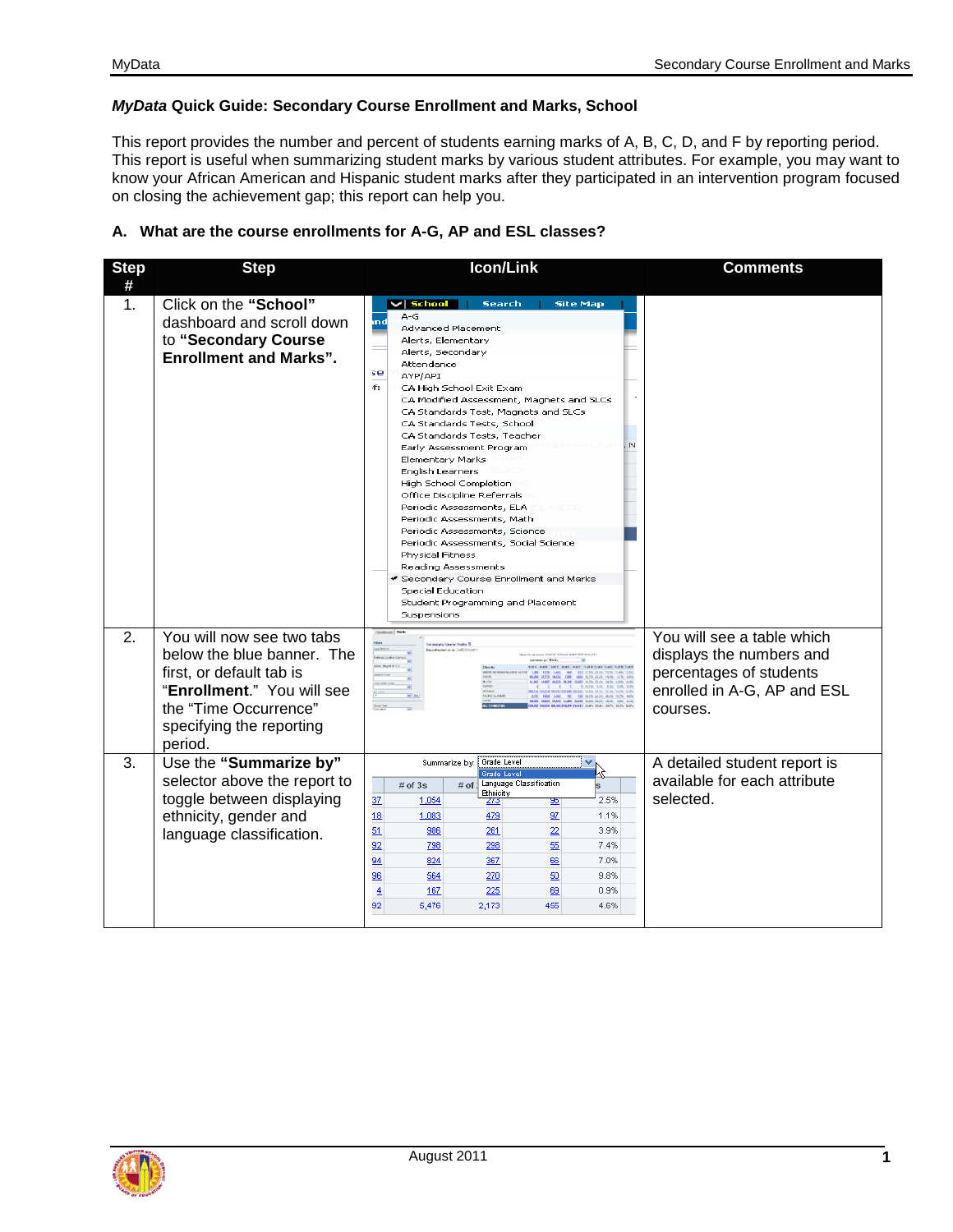## *MyData* **Quick Guide: Secondary Course Enrollment and Marks, School**

This report provides the number and percent of students earning marks of A, B, C, D, and F by reporting period. This report is useful when summarizing student marks by various student attributes. For example, you may want to know your African American and Hispanic student marks after they participated in an intervention program focused on closing the achievement gap; this report can help you.

## **A. What are the course enrollments for A-G, AP and ESL classes?**

| <b>Step</b><br># | <b>Step</b>                                                                                                                                                                       | <b>Icon/Link</b>                                                                                                                                                                                                                                                                                                                                                                                                                                                                                                                                                                                                                                                                                                                                                                   | Comments                                                                                                                     |
|------------------|-----------------------------------------------------------------------------------------------------------------------------------------------------------------------------------|------------------------------------------------------------------------------------------------------------------------------------------------------------------------------------------------------------------------------------------------------------------------------------------------------------------------------------------------------------------------------------------------------------------------------------------------------------------------------------------------------------------------------------------------------------------------------------------------------------------------------------------------------------------------------------------------------------------------------------------------------------------------------------|------------------------------------------------------------------------------------------------------------------------------|
| 1.               | Click on the "School"<br>dashboard and scroll down<br>to "Secondary Course<br><b>Enrollment and Marks".</b>                                                                       | $\vee$ School<br>Search<br><b>Site Map</b><br>$A-G$<br>nd<br><b>Advanced Placement</b><br>Alerts, Elementary<br>Alerts, Secondary<br>Attendance<br>se<br>AYP/API<br>ď:<br>CA High School Exit Exam<br>CA Modified Assessment, Magnets and SLCs<br>CA Standards Test, Magnets and SLCs<br>CA Standards Tests, School<br>CA Standards Tests, Teacher<br>Early Assessment Program<br>Elementary Marks<br>English Learners<br>High School Completion<br>Office Discipline Referrals<br>Periodic Assessments, ELA<br>Periodic Assessments, Math<br>Periodic Assessments, Science<br>Periodic Assessments, Social Science<br>Physical Fitness<br>Reading Assessments<br>✔ Secondary Course Enrollment and Marks<br>Special Education<br>Student Programming and Placement<br>Suspensions |                                                                                                                              |
| 2.               | You will now see two tabs<br>below the blue banner. The<br>first, or default tab is<br>"Enrollment." You will see<br>the "Time Occurrence"<br>specifying the reporting<br>period. | <b>Secondary Course Harks 3</b><br><b>Alcoholyde Avid Card III</b><br>such End.<br>on such and such such that had not more has<br>THE ME SE STATE AND THE TABLE                                                                                                                                                                                                                                                                                                                                                                                                                                                                                                                                                                                                                    | You will see a table which<br>displays the numbers and<br>percentages of students<br>enrolled in A-G, AP and ESL<br>courses. |
| 3.               | Use the "Summarize by"<br>selector above the report to<br>toggle between displaying<br>ethnicity, gender and<br>language classification.                                          | Summarize by: Grade Level<br>v<br>Grade Level<br># of   Language Classification<br>$#$ of 3s<br><b>Bhnicity</b><br>37<br>1,054<br>2.5%<br><u> 273</u><br>쁘<br>18<br>1,083<br>479<br>97<br>1.1%<br>51<br>986<br>261<br>$\overline{22}$<br>3.9%<br>92<br>55<br>798<br>298<br>7.4%<br>94<br>824<br>367<br>7.0%<br>66<br>96<br>564<br>270<br>50<br>9.8%<br>$\overline{4}$<br>225<br>0.9%<br>167<br>69<br>92<br>5,476<br>2,173<br>455<br>4.6%                                                                                                                                                                                                                                                                                                                                           | A detailed student report is<br>available for each attribute<br>selected.                                                    |